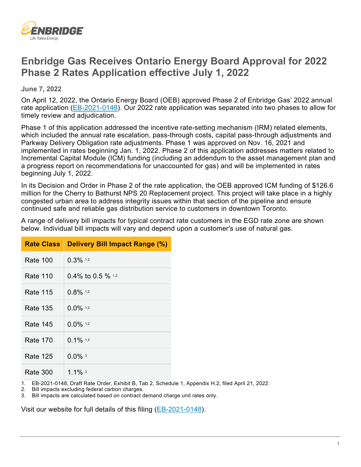

## **Enbridge Gas Receives Ontario Energy Board Approval for 2022 Phase 2 Rates Application effective July 1, 2022**

**June 7, 2022**

On April 12, 2022, the Ontario Energy Board (OEB) approved Phase 2 of Enbridge Gas' 2022 annual rate application [\(EB-2021-0148\)](https://www.enbridgegas.com/about-enbridge-gas/regulatory). Our 2022 rate application was separated into two phases to allow for timely review and adjudication.

Phase 1 of this application addressed the incentive rate-setting mechanism (IRM) related elements, which included the annual rate escalation, pass-through costs, capital pass-through adjustments and Parkway Delivery Obligation rate adjustments. Phase 1 was approved on Nov. 16, 2021 and implemented in rates beginning Jan. 1, 2022. Phase 2 of this application addresses matters related to Incremental Capital Module (ICM) funding (including an addendum to the asset management plan and a progress report on recommendations for unaccounted for gas) and will be implemented in rates beginning July 1, 2022.

In its Decision and Order in Phase 2 of the rate application, the OEB approved ICM funding of \$126.6 million for the Cherry to Bathurst NPS 20 Replacement project. This project will take place in a highly congested urban area to address integrity issues within that section of the pipeline and ensure continued safe and reliable gas distribution service to customers in downtown Toronto.

A range of delivery bill impacts for typical contract rate customers in the EGD rate zone are shown below. Individual bill impacts will vary and depend upon a customer's use of natural gas.

| Rate Class I | <b>Delivery Bill Impact Range (%)</b> |
|--------------|---------------------------------------|
| Rate 100     | $0.3\%$ 1.2                           |
| Rate 110     | 0.4% to 0.5 % $1.2$                   |
| Rate 115     | $0.8\%$ 1,2                           |
| Rate 135     | $0.0\%$ 1.2                           |
| Rate 145     | $0.0\%$ 1.2                           |
| Rate 170     | $0.1\%$ 1.2                           |
| Rate 125     | $0.0\%$ <sup>3</sup>                  |
| Rate 300     | 1.1% $3$                              |

1. EB-2021-0148, Draft Rate Order, Exhibit B, Tab 2, Schedule 1, Appendix H.2, filed April 21, 2022.

2. Bill impacts excluding federal carbon charges.

Bill impacts are calculated based on contract demand charge unit rates only.

Visit our website for full details of this filing [\(EB-2021-0148\)](https://www.enbridgegas.com/about-enbridge-gas/regulatory).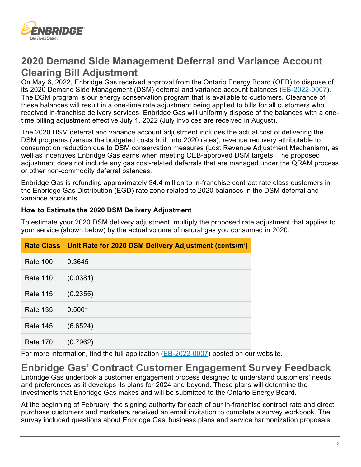

## **2020 Demand Side Management Deferral and Variance Account Clearing Bill Adjustment**

On May 6, 2022, Enbridge Gas received approval from the Ontario Energy Board (OEB) to dispose of its 2020 Demand Side Management (DSM) deferral and variance account balances [\(EB-2022-0007\)](https://www.enbridgegas.com/about-enbridge-gas/regulatory). The DSM program is our energy conservation program that is available to customers. Clearance of these balances will result in a one-time rate adjustment being applied to bills for all customers who received in-franchise delivery services. Enbridge Gas will uniformly dispose of the balances with a onetime billing adjustment effective July 1, 2022 (July invoices are received in August).

The 2020 DSM deferral and variance account adjustment includes the actual cost of delivering the DSM programs (versus the budgeted costs built into 2020 rates), revenue recovery attributable to consumption reduction due to DSM conservation measures (Lost Revenue Adjustment Mechanism), as well as incentives Enbridge Gas earns when meeting OEB-approved DSM targets. The proposed adjustment does not include any gas cost-related deferrals that are managed under the QRAM process or other non-commodity deferral balances.

Enbridge Gas is refunding approximately \$4.4 million to in-franchise contract rate class customers in the Enbridge Gas Distribution (EGD) rate zone related to 2020 balances in the DSM deferral and variance accounts.

## **How to Estimate the 2020 DSM Delivery Adjustment**

To estimate your 2020 DSM delivery adjustment, multiply the proposed rate adjustment that applies to your service (shown below) by the actual volume of natural gas you consumed in 2020.

|                 | Rate Class   Unit Rate for 2020 DSM Delivery Adjustment (cents/m <sup>3</sup> ) |
|-----------------|---------------------------------------------------------------------------------|
| <b>Rate 100</b> | 0.3645                                                                          |
| <b>Rate 110</b> | (0.0381)                                                                        |
| <b>Rate 115</b> | (0.2355)                                                                        |
| <b>Rate 135</b> | 0.5001                                                                          |
| <b>Rate 145</b> | (6.6524)                                                                        |
| <b>Rate 170</b> | (0.7962)                                                                        |

For more information, find the full application [\(EB-2022-0007\)](https://www.enbridgegas.com/about-enbridge-gas/regulatory) posted on our website.

## **Enbridge Gas' Contract Customer Engagement Survey Feedback** Enbridge Gas undertook a customer engagement process designed to understand customers' needs and preferences as it develops its plans for 2024 and beyond. These plans will determine the investments that Enbridge Gas makes and will be submitted to the Ontario Energy Board.

At the beginning of February, the signing authority for each of our in-franchise contract rate and direct purchase customers and marketers received an email invitation to complete a survey workbook. The survey included questions about Enbridge Gas' business plans and service harmonization proposals.